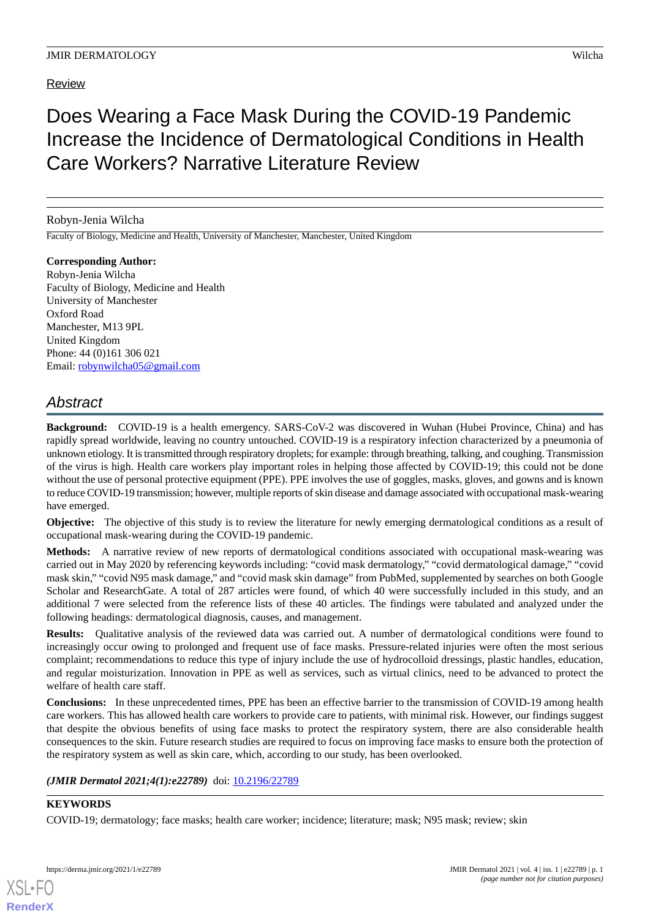# Review

# Does Wearing a Face Mask During the COVID-19 Pandemic Increase the Incidence of Dermatological Conditions in Health Care Workers? Narrative Literature Review

## Robyn-Jenia Wilcha

Faculty of Biology, Medicine and Health, University of Manchester, Manchester, United Kingdom

**Corresponding Author:** Robyn-Jenia Wilcha Faculty of Biology, Medicine and Health University of Manchester Oxford Road Manchester, M13 9PL United Kingdom Phone: 44 (0)161 306 021 Email: [robynwilcha05@gmail.com](mailto:robynwilcha05@gmail.com)

# *Abstract*

**Background:** COVID-19 is a health emergency. SARS-CoV-2 was discovered in Wuhan (Hubei Province, China) and has rapidly spread worldwide, leaving no country untouched. COVID-19 is a respiratory infection characterized by a pneumonia of unknown etiology. It is transmitted through respiratory droplets; for example: through breathing, talking, and coughing. Transmission of the virus is high. Health care workers play important roles in helping those affected by COVID-19; this could not be done without the use of personal protective equipment (PPE). PPE involves the use of goggles, masks, gloves, and gowns and is known to reduce COVID-19 transmission; however, multiple reports of skin disease and damage associated with occupational mask-wearing have emerged.

**Objective:** The objective of this study is to review the literature for newly emerging dermatological conditions as a result of occupational mask-wearing during the COVID-19 pandemic.

**Methods:** A narrative review of new reports of dermatological conditions associated with occupational mask-wearing was carried out in May 2020 by referencing keywords including: "covid mask dermatology," "covid dermatological damage," "covid mask skin," "covid N95 mask damage," and "covid mask skin damage" from PubMed, supplemented by searches on both Google Scholar and ResearchGate. A total of 287 articles were found, of which 40 were successfully included in this study, and an additional 7 were selected from the reference lists of these 40 articles. The findings were tabulated and analyzed under the following headings: dermatological diagnosis, causes, and management.

**Results:** Qualitative analysis of the reviewed data was carried out. A number of dermatological conditions were found to increasingly occur owing to prolonged and frequent use of face masks. Pressure-related injuries were often the most serious complaint; recommendations to reduce this type of injury include the use of hydrocolloid dressings, plastic handles, education, and regular moisturization. Innovation in PPE as well as services, such as virtual clinics, need to be advanced to protect the welfare of health care staff.

**Conclusions:** In these unprecedented times, PPE has been an effective barrier to the transmission of COVID-19 among health care workers. This has allowed health care workers to provide care to patients, with minimal risk. However, our findings suggest that despite the obvious benefits of using face masks to protect the respiratory system, there are also considerable health consequences to the skin. Future research studies are required to focus on improving face masks to ensure both the protection of the respiratory system as well as skin care, which, according to our study, has been overlooked.

## (JMIR Dermatol 2021;4(1):e22789) doi: [10.2196/22789](http://dx.doi.org/10.2196/22789)

# **KEYWORDS**

COVID-19; dermatology; face masks; health care worker; incidence; literature; mask; N95 mask; review; skin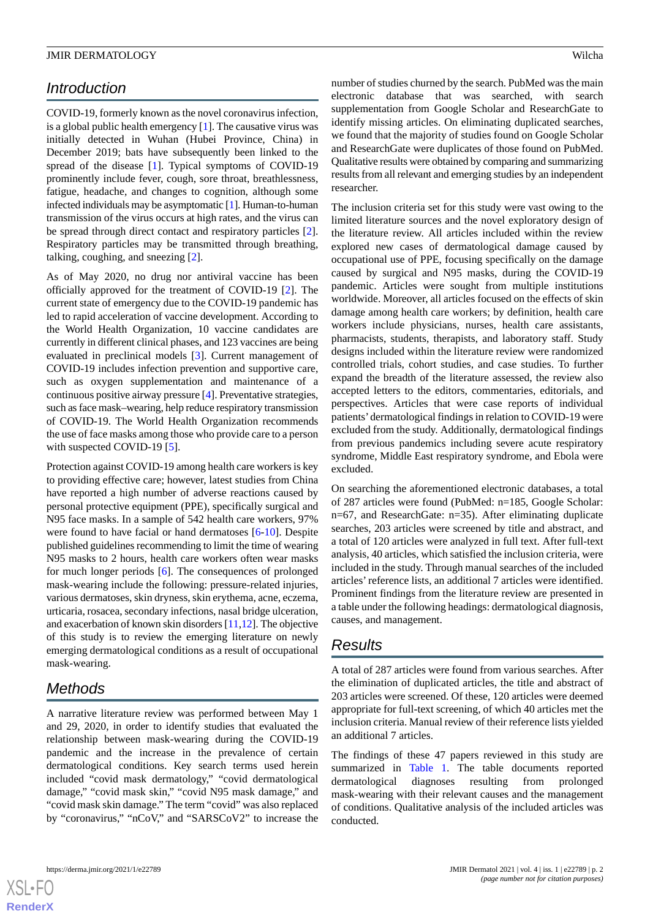# *Introduction*

COVID-19, formerly known as the novel coronavirus infection, is a global public health emergency [[1\]](#page-6-0). The causative virus was initially detected in Wuhan (Hubei Province, China) in December 2019; bats have subsequently been linked to the spread of the disease [\[1](#page-6-0)]. Typical symptoms of COVID-19 prominently include fever, cough, sore throat, breathlessness, fatigue, headache, and changes to cognition, although some infected individuals may be asymptomatic [[1\]](#page-6-0). Human-to-human transmission of the virus occurs at high rates, and the virus can be spread through direct contact and respiratory particles [[2\]](#page-6-1). Respiratory particles may be transmitted through breathing, talking, coughing, and sneezing [\[2](#page-6-1)].

As of May 2020, no drug nor antiviral vaccine has been officially approved for the treatment of COVID-19 [\[2](#page-6-1)]. The current state of emergency due to the COVID-19 pandemic has led to rapid acceleration of vaccine development. According to the World Health Organization, 10 vaccine candidates are currently in different clinical phases, and 123 vaccines are being evaluated in preclinical models [[3\]](#page-6-2). Current management of COVID-19 includes infection prevention and supportive care, such as oxygen supplementation and maintenance of a continuous positive airway pressure [\[4](#page-6-3)]. Preventative strategies, such as face mask–wearing, help reduce respiratory transmission of COVID-19. The World Health Organization recommends the use of face masks among those who provide care to a person with suspected COVID-19 [\[5\]](#page-6-4).

Protection against COVID-19 among health care workers is key to providing effective care; however, latest studies from China have reported a high number of adverse reactions caused by personal protective equipment (PPE), specifically surgical and N95 face masks. In a sample of 542 health care workers, 97% were found to have facial or hand dermatoses [[6](#page-6-5)[-10](#page-7-0)]. Despite published guidelines recommending to limit the time of wearing N95 masks to 2 hours, health care workers often wear masks for much longer periods [\[6](#page-6-5)]. The consequences of prolonged mask-wearing include the following: pressure-related injuries, various dermatoses, skin dryness, skin erythema, acne, eczema, urticaria, rosacea, secondary infections, nasal bridge ulceration, and exacerbation of known skin disorders [[11](#page-7-1)[,12](#page-7-2)]. The objective of this study is to review the emerging literature on newly emerging dermatological conditions as a result of occupational mask-wearing.

# *Methods*

A narrative literature review was performed between May 1 and 29, 2020, in order to identify studies that evaluated the relationship between mask-wearing during the COVID-19 pandemic and the increase in the prevalence of certain dermatological conditions. Key search terms used herein included "covid mask dermatology," "covid dermatological damage," "covid mask skin," "covid N95 mask damage," and "covid mask skin damage." The term "covid" was also replaced by "coronavirus," "nCoV," and "SARSCoV2" to increase the number of studies churned by the search. PubMed was the main electronic database that was searched, with search supplementation from Google Scholar and ResearchGate to identify missing articles. On eliminating duplicated searches, we found that the majority of studies found on Google Scholar and ResearchGate were duplicates of those found on PubMed. Qualitative results were obtained by comparing and summarizing results from all relevant and emerging studies by an independent researcher.

The inclusion criteria set for this study were vast owing to the limited literature sources and the novel exploratory design of the literature review. All articles included within the review explored new cases of dermatological damage caused by occupational use of PPE, focusing specifically on the damage caused by surgical and N95 masks, during the COVID-19 pandemic. Articles were sought from multiple institutions worldwide. Moreover, all articles focused on the effects of skin damage among health care workers; by definition, health care workers include physicians, nurses, health care assistants, pharmacists, students, therapists, and laboratory staff. Study designs included within the literature review were randomized controlled trials, cohort studies, and case studies. To further expand the breadth of the literature assessed, the review also accepted letters to the editors, commentaries, editorials, and perspectives. Articles that were case reports of individual patients'dermatological findings in relation to COVID-19 were excluded from the study. Additionally, dermatological findings from previous pandemics including severe acute respiratory syndrome, Middle East respiratory syndrome, and Ebola were excluded.

On searching the aforementioned electronic databases, a total of 287 articles were found (PubMed: n=185, Google Scholar: n=67, and ResearchGate: n=35). After eliminating duplicate searches, 203 articles were screened by title and abstract, and a total of 120 articles were analyzed in full text. After full-text analysis, 40 articles, which satisfied the inclusion criteria, were included in the study. Through manual searches of the included articles'reference lists, an additional 7 articles were identified. Prominent findings from the literature review are presented in a table under the following headings: dermatological diagnosis, causes, and management.

# *Results*

A total of 287 articles were found from various searches. After the elimination of duplicated articles, the title and abstract of 203 articles were screened. Of these, 120 articles were deemed appropriate for full-text screening, of which 40 articles met the inclusion criteria. Manual review of their reference lists yielded an additional 7 articles.

The findings of these 47 papers reviewed in this study are summarized in [Table 1](#page-2-0). The table documents reported dermatological diagnoses resulting from prolonged mask-wearing with their relevant causes and the management of conditions. Qualitative analysis of the included articles was conducted.

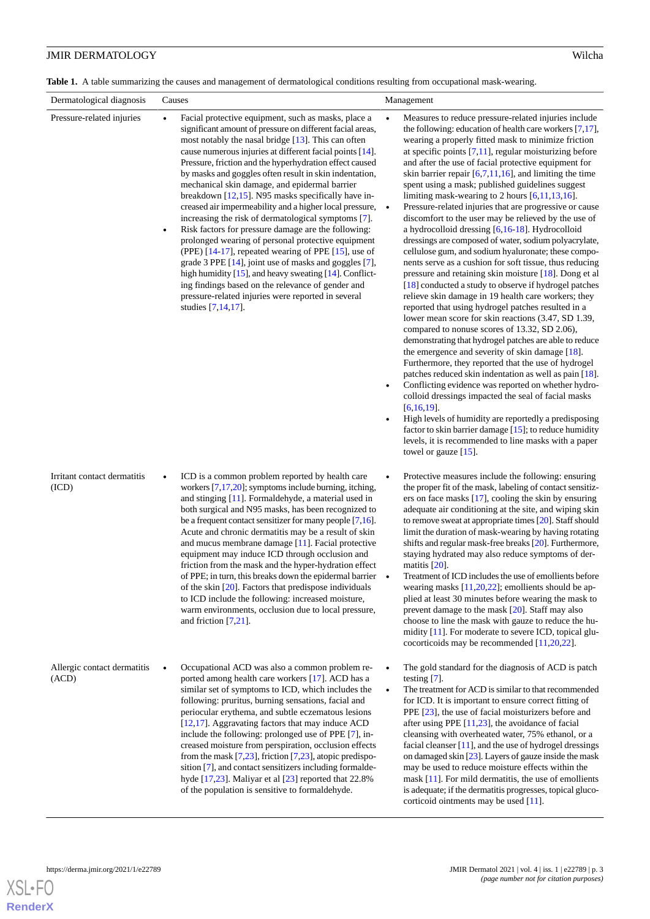<span id="page-2-0"></span>Table 1. A table summarizing the causes and management of dermatological conditions resulting from occupational mask-wearing.

| Dermatological diagnosis             | Causes                                                                                                                                                                                                                                                                                                                                                                                                                                                                                                                                                                                                                                                                                                                                                                                                                                                                                                                                                                                                            | Management                                                                                                                                                                                                                                                                                                                                                                                                                                                                                                                                                                                                                                                                                                                                                                                                                                                                                                                                                                                                                                                                                                                                                                                                                                                                                                                                                                                                                                                                                                                                                                                                                                                                                                                                         |
|--------------------------------------|-------------------------------------------------------------------------------------------------------------------------------------------------------------------------------------------------------------------------------------------------------------------------------------------------------------------------------------------------------------------------------------------------------------------------------------------------------------------------------------------------------------------------------------------------------------------------------------------------------------------------------------------------------------------------------------------------------------------------------------------------------------------------------------------------------------------------------------------------------------------------------------------------------------------------------------------------------------------------------------------------------------------|----------------------------------------------------------------------------------------------------------------------------------------------------------------------------------------------------------------------------------------------------------------------------------------------------------------------------------------------------------------------------------------------------------------------------------------------------------------------------------------------------------------------------------------------------------------------------------------------------------------------------------------------------------------------------------------------------------------------------------------------------------------------------------------------------------------------------------------------------------------------------------------------------------------------------------------------------------------------------------------------------------------------------------------------------------------------------------------------------------------------------------------------------------------------------------------------------------------------------------------------------------------------------------------------------------------------------------------------------------------------------------------------------------------------------------------------------------------------------------------------------------------------------------------------------------------------------------------------------------------------------------------------------------------------------------------------------------------------------------------------------|
| Pressure-related injuries            | Facial protective equipment, such as masks, place a<br>significant amount of pressure on different facial areas,<br>most notably the nasal bridge [13]. This can often<br>cause numerous injuries at different facial points [14].<br>Pressure, friction and the hyperhydration effect caused<br>by masks and goggles often result in skin indentation,<br>mechanical skin damage, and epidermal barrier<br>breakdown $[12,15]$ . N95 masks specifically have in-<br>creased air impermeability and a higher local pressure,<br>increasing the risk of dermatological symptoms [7].<br>Risk factors for pressure damage are the following:<br>prolonged wearing of personal protective equipment<br>(PPE) [14-17], repeated wearing of PPE [15], use of<br>grade 3 PPE [14], joint use of masks and goggles [7],<br>high humidity $[15]$ , and heavy sweating $[14]$ . Conflict-<br>ing findings based on the relevance of gender and<br>pressure-related injuries were reported in several<br>studies [7,14,17]. | Measures to reduce pressure-related injuries include<br>the following: education of health care workers $[7,17]$ ,<br>wearing a properly fitted mask to minimize friction<br>at specific points $[7,11]$ , regular moisturizing before<br>and after the use of facial protective equipment for<br>skin barrier repair $[6,7,11,16]$ , and limiting the time<br>spent using a mask; published guidelines suggest<br>limiting mask-wearing to 2 hours $[6,11,13,16]$ .<br>Pressure-related injuries that are progressive or cause<br>$\bullet$<br>discomfort to the user may be relieved by the use of<br>a hydrocolloid dressing $[6,16-18]$ . Hydrocolloid<br>dressings are composed of water, sodium polyacrylate,<br>cellulose gum, and sodium hyaluronate; these compo-<br>nents serve as a cushion for soft tissue, thus reducing<br>pressure and retaining skin moisture [18]. Dong et al<br>[18] conducted a study to observe if hydrogel patches<br>relieve skin damage in 19 health care workers; they<br>reported that using hydrogel patches resulted in a<br>lower mean score for skin reactions (3.47, SD 1.39,<br>compared to nonuse scores of 13.32, SD 2.06),<br>demonstrating that hydrogel patches are able to reduce<br>the emergence and severity of skin damage $[18]$ .<br>Furthermore, they reported that the use of hydrogel<br>patches reduced skin indentation as well as pain [18].<br>Conflicting evidence was reported on whether hydro-<br>colloid dressings impacted the seal of facial masks<br>$[6,16,19]$ .<br>High levels of humidity are reportedly a predisposing<br>factor to skin barrier damage [15]; to reduce humidity<br>levels, it is recommended to line masks with a paper<br>towel or gauze $[15]$ . |
| Irritant contact dermatitis<br>(ICD) | ICD is a common problem reported by health care<br>workers $[7,17,20]$ ; symptoms include burning, itching,<br>and stinging [11]. Formaldehyde, a material used in<br>both surgical and N95 masks, has been recognized to<br>be a frequent contact sensitizer for many people $[7,16]$ .<br>Acute and chronic dermatitis may be a result of skin<br>and mucus membrane damage [11]. Facial protective<br>equipment may induce ICD through occlusion and<br>friction from the mask and the hyper-hydration effect<br>of PPE; in turn, this breaks down the epidermal barrier .<br>of the skin $[20]$ . Factors that predispose individuals<br>to ICD include the following: increased moisture,<br>warm environments, occlusion due to local pressure,<br>and friction $[7,21]$ .                                                                                                                                                                                                                                  | Protective measures include the following: ensuring<br>the proper fit of the mask, labeling of contact sensitiz-<br>ers on face masks [17], cooling the skin by ensuring<br>adequate air conditioning at the site, and wiping skin<br>to remove sweat at appropriate times [20]. Staff should<br>limit the duration of mask-wearing by having rotating<br>shifts and regular mask-free breaks [20]. Furthermore,<br>staying hydrated may also reduce symptoms of der-<br>matitis $[20]$ .<br>Treatment of ICD includes the use of emollients before<br>wearing masks $[11,20,22]$ ; emollients should be ap-<br>plied at least 30 minutes before wearing the mask to<br>prevent damage to the mask $[20]$ . Staff may also<br>choose to line the mask with gauze to reduce the hu-<br>midity [11]. For moderate to severe ICD, topical glu-<br>cocorticoids may be recommended $[11,20,22]$ .                                                                                                                                                                                                                                                                                                                                                                                                                                                                                                                                                                                                                                                                                                                                                                                                                                                      |
| Allergic contact dermatitis<br>(ACD) | Occupational ACD was also a common problem re-<br>ported among health care workers [17]. ACD has a<br>similar set of symptoms to ICD, which includes the<br>following: pruritus, burning sensations, facial and<br>periocular erythema, and subtle eczematous lesions<br>[12,17]. Aggravating factors that may induce ACD<br>include the following: prolonged use of PPE [7], in-<br>creased moisture from perspiration, occlusion effects<br>from the mask $[7,23]$ , friction $[7,23]$ , atopic predispo-<br>sition [7], and contact sensitizers including formalde-<br>hyde [17,23]. Maliyar et al [23] reported that 22.8%<br>of the population is sensitive to formaldehyde.                                                                                                                                                                                                                                                                                                                                 | The gold standard for the diagnosis of ACD is patch<br>testing $[7]$ .<br>The treatment for ACD is similar to that recommended<br>$\bullet$<br>for ICD. It is important to ensure correct fitting of<br>PPE [23], the use of facial moisturizers before and<br>after using PPE $[11,23]$ , the avoidance of facial<br>cleansing with overheated water, 75% ethanol, or a<br>facial cleanser $[11]$ , and the use of hydrogel dressings<br>on damaged skin $[23]$ . Layers of gauze inside the mask<br>may be used to reduce moisture effects within the<br>mask $[11]$ . For mild dermatitis, the use of emollients<br>is adequate; if the dermatitis progresses, topical gluco-<br>corticoid ointments may be used [11].                                                                                                                                                                                                                                                                                                                                                                                                                                                                                                                                                                                                                                                                                                                                                                                                                                                                                                                                                                                                                          |

**[RenderX](http://www.renderx.com/)**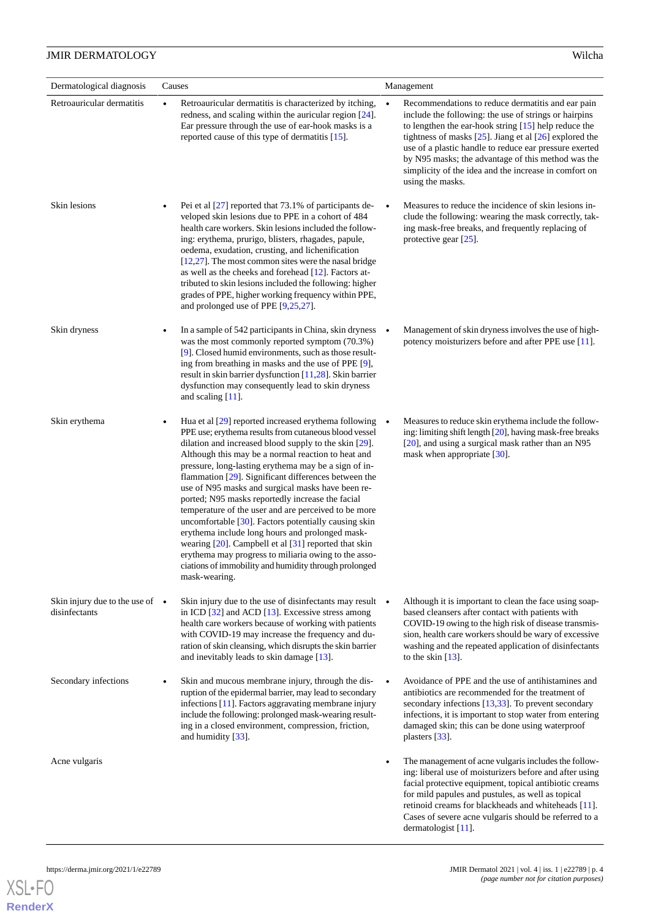| Dermatological diagnosis                                 | Causes                                                                                                                                                                                                                                                                                                                                                                                                                                                                                                                                                                                                                                                                                                                                                                                                                                 | Management                                                                                                                                                                                                                                                                                                                                                                                                                                    |
|----------------------------------------------------------|----------------------------------------------------------------------------------------------------------------------------------------------------------------------------------------------------------------------------------------------------------------------------------------------------------------------------------------------------------------------------------------------------------------------------------------------------------------------------------------------------------------------------------------------------------------------------------------------------------------------------------------------------------------------------------------------------------------------------------------------------------------------------------------------------------------------------------------|-----------------------------------------------------------------------------------------------------------------------------------------------------------------------------------------------------------------------------------------------------------------------------------------------------------------------------------------------------------------------------------------------------------------------------------------------|
| Retroauricular dermatitis                                | Retroauricular dermatitis is characterized by itching,<br>$\bullet$<br>redness, and scaling within the auricular region [24].<br>Ear pressure through the use of ear-hook masks is a<br>reported cause of this type of dermatitis [15].                                                                                                                                                                                                                                                                                                                                                                                                                                                                                                                                                                                                | Recommendations to reduce dermatitis and ear pain<br>$\bullet$<br>include the following: the use of strings or hairpins<br>to lengthen the ear-hook string $[15]$ help reduce the<br>tightness of masks $[25]$ . Jiang et al $[26]$ explored the<br>use of a plastic handle to reduce ear pressure exerted<br>by N95 masks; the advantage of this method was the<br>simplicity of the idea and the increase in comfort on<br>using the masks. |
| Skin lesions                                             | Pei et al $[27]$ reported that 73.1% of participants de-<br>veloped skin lesions due to PPE in a cohort of 484<br>health care workers. Skin lesions included the follow-<br>ing: erythema, prurigo, blisters, rhagades, papule,<br>oedema, exudation, crusting, and lichenification<br>$[12,27]$ . The most common sites were the nasal bridge<br>as well as the cheeks and forehead [12]. Factors at-<br>tributed to skin lesions included the following: higher<br>grades of PPE, higher working frequency within PPE,<br>and prolonged use of PPE $[9,25,27]$ .                                                                                                                                                                                                                                                                     | Measures to reduce the incidence of skin lesions in-<br>clude the following: wearing the mask correctly, tak-<br>ing mask-free breaks, and frequently replacing of<br>protective gear $[25]$ .                                                                                                                                                                                                                                                |
| Skin dryness                                             | In a sample of 542 participants in China, skin dryness •<br>was the most commonly reported symptom (70.3%)<br>[9]. Closed humid environments, such as those result-<br>ing from breathing in masks and the use of PPE [9],<br>result in skin barrier dysfunction [11,28]. Skin barrier<br>dysfunction may consequently lead to skin dryness<br>and scaling $[11]$ .                                                                                                                                                                                                                                                                                                                                                                                                                                                                    | Management of skin dryness involves the use of high-<br>potency moisturizers before and after PPE use [11].                                                                                                                                                                                                                                                                                                                                   |
| Skin erythema                                            | Hua et al $[29]$ reported increased erythema following $\bullet$<br>PPE use; erythema results from cutaneous blood vessel<br>dilation and increased blood supply to the skin [29].<br>Although this may be a normal reaction to heat and<br>pressure, long-lasting erythema may be a sign of in-<br>flammation $[29]$ . Significant differences between the<br>use of N95 masks and surgical masks have been re-<br>ported; N95 masks reportedly increase the facial<br>temperature of the user and are perceived to be more<br>uncomfortable [30]. Factors potentially causing skin<br>erythema include long hours and prolonged mask-<br>wearing $[20]$ . Campbell et al $[31]$ reported that skin<br>erythema may progress to miliaria owing to the asso-<br>ciations of immobility and humidity through prolonged<br>mask-wearing. | Measures to reduce skin erythema include the follow-<br>ing: limiting shift length [20], having mask-free breaks<br>[20], and using a surgical mask rather than an N95<br>mask when appropriate [30].                                                                                                                                                                                                                                         |
| Skin injury due to the use of $\bullet$<br>disinfectants | Skin injury due to the use of disinfectants may result $\bullet$<br>in ICD $[32]$ and ACD $[13]$ . Excessive stress among<br>health care workers because of working with patients<br>with COVID-19 may increase the frequency and du-<br>ration of skin cleansing, which disrupts the skin barrier<br>and inevitably leads to skin damage [13].                                                                                                                                                                                                                                                                                                                                                                                                                                                                                        | Although it is important to clean the face using soap-<br>based cleansers after contact with patients with<br>COVID-19 owing to the high risk of disease transmis-<br>sion, health care workers should be wary of excessive<br>washing and the repeated application of disinfectants<br>to the skin $[13]$ .                                                                                                                                  |
| Secondary infections                                     | Skin and mucous membrane injury, through the dis-<br>ruption of the epidermal barrier, may lead to secondary<br>infections [11]. Factors aggravating membrane injury<br>include the following: prolonged mask-wearing result-<br>ing in a closed environment, compression, friction,<br>and humidity [33].                                                                                                                                                                                                                                                                                                                                                                                                                                                                                                                             | Avoidance of PPE and the use of antihistamines and<br>$\bullet$<br>antibiotics are recommended for the treatment of<br>secondary infections [13,33]. To prevent secondary<br>infections, it is important to stop water from entering<br>damaged skin; this can be done using waterproof<br>plasters $[33]$ .                                                                                                                                  |
| Acne vulgaris                                            |                                                                                                                                                                                                                                                                                                                                                                                                                                                                                                                                                                                                                                                                                                                                                                                                                                        | The management of acne vulgaris includes the follow-<br>ing: liberal use of moisturizers before and after using<br>facial protective equipment, topical antibiotic creams<br>for mild papules and pustules, as well as topical<br>retinoid creams for blackheads and whiteheads [11].<br>Cases of severe acne vulgaris should be referred to a<br>dermatologist $[11]$ .                                                                      |

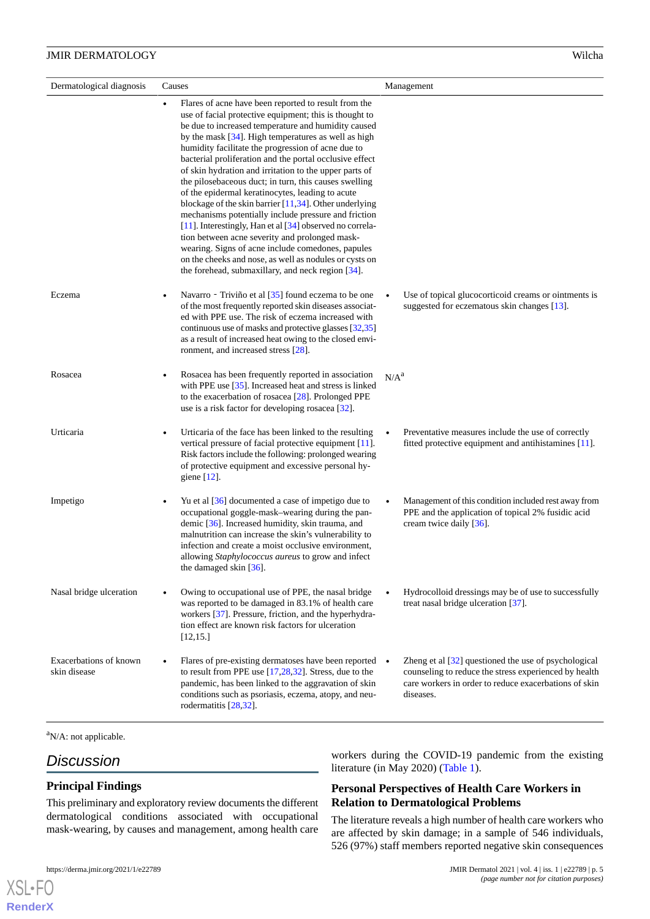| Dermatological diagnosis               | Causes                                                                                                                                                                                                                                                                                                                                                                                                                                                                                                                                                                                                                                                                                                                                                                                                                                                                                                                                   | Management                                                                                                                                                                          |
|----------------------------------------|------------------------------------------------------------------------------------------------------------------------------------------------------------------------------------------------------------------------------------------------------------------------------------------------------------------------------------------------------------------------------------------------------------------------------------------------------------------------------------------------------------------------------------------------------------------------------------------------------------------------------------------------------------------------------------------------------------------------------------------------------------------------------------------------------------------------------------------------------------------------------------------------------------------------------------------|-------------------------------------------------------------------------------------------------------------------------------------------------------------------------------------|
|                                        | Flares of acne have been reported to result from the<br>$\bullet$<br>use of facial protective equipment; this is thought to<br>be due to increased temperature and humidity caused<br>by the mask [34]. High temperatures as well as high<br>humidity facilitate the progression of acne due to<br>bacterial proliferation and the portal occlusive effect<br>of skin hydration and irritation to the upper parts of<br>the pilosebaceous duct; in turn, this causes swelling<br>of the epidermal keratinocytes, leading to acute<br>blockage of the skin barrier $[11,34]$ . Other underlying<br>mechanisms potentially include pressure and friction<br>[11]. Interestingly, Han et al [34] observed no correla-<br>tion between acne severity and prolonged mask-<br>wearing. Signs of acne include comedones, papules<br>on the cheeks and nose, as well as nodules or cysts on<br>the forehead, submaxillary, and neck region [34]. |                                                                                                                                                                                     |
| Eczema                                 | Navarro - Triviño et al [35] found eczema to be one<br>of the most frequently reported skin diseases associat-<br>ed with PPE use. The risk of eczema increased with<br>continuous use of masks and protective glasses [32,35]<br>as a result of increased heat owing to the closed envi-<br>ronment, and increased stress [28].                                                                                                                                                                                                                                                                                                                                                                                                                                                                                                                                                                                                         | Use of topical glucocorticoid creams or ointments is<br>suggested for eczematous skin changes [13].                                                                                 |
| Rosacea                                | Rosacea has been frequently reported in association<br>with PPE use $[35]$ . Increased heat and stress is linked<br>to the exacerbation of rosacea $[28]$ . Prolonged PPE<br>use is a risk factor for developing rosacea $[32]$ .                                                                                                                                                                                                                                                                                                                                                                                                                                                                                                                                                                                                                                                                                                        | N/A <sup>a</sup>                                                                                                                                                                    |
| Urticaria                              | Urticaria of the face has been linked to the resulting<br>$\bullet$<br>vertical pressure of facial protective equipment [11].<br>Risk factors include the following: prolonged wearing<br>of protective equipment and excessive personal hy-<br>giene $[12]$ .                                                                                                                                                                                                                                                                                                                                                                                                                                                                                                                                                                                                                                                                           | Preventative measures include the use of correctly<br>fitted protective equipment and antihistamines [11].                                                                          |
| Impetigo                               | Yu et al $\left[36\right]$ documented a case of impetigo due to<br>occupational goggle-mask-wearing during the pan-<br>demic [36]. Increased humidity, skin trauma, and<br>malnutrition can increase the skin's vulnerability to<br>infection and create a moist occlusive environment,<br>allowing Staphylococcus aureus to grow and infect<br>the damaged skin [36].                                                                                                                                                                                                                                                                                                                                                                                                                                                                                                                                                                   | Management of this condition included rest away from<br>PPE and the application of topical 2% fusidic acid<br>cream twice daily [36].                                               |
| Nasal bridge ulceration                | Owing to occupational use of PPE, the nasal bridge<br>was reported to be damaged in 83.1% of health care<br>workers [37]. Pressure, friction, and the hyperhydra-<br>tion effect are known risk factors for ulceration<br>[12, 15.]                                                                                                                                                                                                                                                                                                                                                                                                                                                                                                                                                                                                                                                                                                      | Hydrocolloid dressings may be of use to successfully<br>treat nasal bridge ulceration [37].                                                                                         |
| Exacerbations of known<br>skin disease | Flares of pre-existing dermatoses have been reported •<br>to result from PPE use $[17,28,32]$ . Stress, due to the<br>pandemic, has been linked to the aggravation of skin<br>conditions such as psoriasis, eczema, atopy, and neu-<br>rodermatitis [28,32].                                                                                                                                                                                                                                                                                                                                                                                                                                                                                                                                                                                                                                                                             | Zheng et al [32] questioned the use of psychological<br>counseling to reduce the stress experienced by health<br>care workers in order to reduce exacerbations of skin<br>diseases. |

<sup>a</sup>N/A: not applicable.

# *Discussion*

[XSL](http://www.w3.org/Style/XSL)•FO **[RenderX](http://www.renderx.com/)**

## **Principal Findings**

This preliminary and exploratory review documents the different dermatological conditions associated with occupational mask-wearing, by causes and management, among health care

workers during the COVID-19 pandemic from the existing literature (in May 2020) ([Table 1](#page-2-0)).

## **Personal Perspectives of Health Care Workers in Relation to Dermatological Problems**

The literature reveals a high number of health care workers who are affected by skin damage; in a sample of 546 individuals, 526 (97%) staff members reported negative skin consequences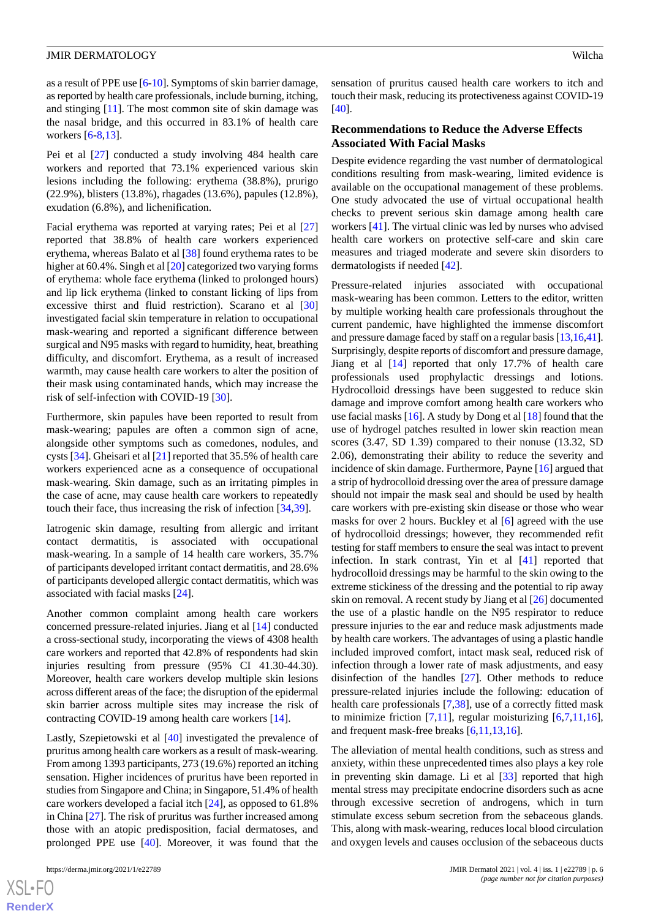as a result of PPE use [[6-](#page-6-5)[10](#page-7-0)]. Symptoms of skin barrier damage, as reported by health care professionals, include burning, itching, and stinging [\[11](#page-7-1)]. The most common site of skin damage was the nasal bridge, and this occurred in 83.1% of health care workers [\[6](#page-6-5)-[8,](#page-6-7)[13](#page-7-4)].

Pei et al [\[27](#page-7-17)] conducted a study involving 484 health care workers and reported that 73.1% experienced various skin lesions including the following: erythema (38.8%), prurigo (22.9%), blisters (13.8%), rhagades (13.6%), papules (12.8%), exudation (6.8%), and lichenification.

Facial erythema was reported at varying rates; Pei et al [\[27](#page-7-17)] reported that 38.8% of health care workers experienced erythema, whereas Balato et al [\[38](#page-8-7)] found erythema rates to be higher at 60.4%. Singh et al [\[20](#page-7-10)] categorized two varying forms of erythema: whole face erythema (linked to prolonged hours) and lip lick erythema (linked to constant licking of lips from excessive thirst and fluid restriction). Scarano et al [\[30](#page-7-20)] investigated facial skin temperature in relation to occupational mask-wearing and reported a significant difference between surgical and N95 masks with regard to humidity, heat, breathing difficulty, and discomfort. Erythema, as a result of increased warmth, may cause health care workers to alter the position of their mask using contaminated hands, which may increase the risk of self-infection with COVID-19 [\[30](#page-7-20)].

Furthermore, skin papules have been reported to result from mask-wearing; papules are often a common sign of acne, alongside other symptoms such as comedones, nodules, and cysts [[34\]](#page-8-3). Gheisari et al [[21\]](#page-7-12) reported that 35.5% of health care workers experienced acne as a consequence of occupational mask-wearing. Skin damage, such as an irritating pimples in the case of acne, may cause health care workers to repeatedly touch their face, thus increasing the risk of infection [[34](#page-8-3)[,39](#page-8-8)].

Iatrogenic skin damage, resulting from allergic and irritant contact dermatitis, is associated with occupational mask-wearing. In a sample of 14 health care workers, 35.7% of participants developed irritant contact dermatitis, and 28.6% of participants developed allergic contact dermatitis, which was associated with facial masks [[24\]](#page-7-16).

Another common complaint among health care workers concerned pressure-related injuries. Jiang et al [[14\]](#page-7-5) conducted a cross-sectional study, incorporating the views of 4308 health care workers and reported that 42.8% of respondents had skin injuries resulting from pressure (95% CI 41.30-44.30). Moreover, health care workers develop multiple skin lesions across different areas of the face; the disruption of the epidermal skin barrier across multiple sites may increase the risk of contracting COVID-19 among health care workers [[14\]](#page-7-5).

Lastly, Szepietowski et al [[40\]](#page-8-9) investigated the prevalence of pruritus among health care workers as a result of mask-wearing. From among 1393 participants, 273 (19.6%) reported an itching sensation. Higher incidences of pruritus have been reported in studies from Singapore and China; in Singapore, 51.4% of health care workers developed a facial itch [\[24](#page-7-16)], as opposed to 61.8% in China [[27\]](#page-7-17). The risk of pruritus was further increased among those with an atopic predisposition, facial dermatoses, and prolonged PPE use [\[40](#page-8-9)]. Moreover, it was found that the

sensation of pruritus caused health care workers to itch and touch their mask, reducing its protectiveness against COVID-19 [[40\]](#page-8-9).

#### **Recommendations to Reduce the Adverse Effects Associated With Facial Masks**

Despite evidence regarding the vast number of dermatological conditions resulting from mask-wearing, limited evidence is available on the occupational management of these problems. One study advocated the use of virtual occupational health checks to prevent serious skin damage among health care workers [\[41](#page-8-10)]. The virtual clinic was led by nurses who advised health care workers on protective self-care and skin care measures and triaged moderate and severe skin disorders to dermatologists if needed [[42\]](#page-8-11).

Pressure-related injuries associated with occupational mask-wearing has been common. Letters to the editor, written by multiple working health care professionals throughout the current pandemic, have highlighted the immense discomfort and pressure damage faced by staff on a regular basis [[13,](#page-7-4)[16](#page-7-6)[,41](#page-8-10)]. Surprisingly, despite reports of discomfort and pressure damage, Jiang et al [\[14](#page-7-5)] reported that only 17.7% of health care professionals used prophylactic dressings and lotions. Hydrocolloid dressings have been suggested to reduce skin damage and improve comfort among health care workers who use facial masks  $[16]$  $[16]$ . A study by Dong et al  $[18]$  $[18]$  found that the use of hydrogel patches resulted in lower skin reaction mean scores (3.47, SD 1.39) compared to their nonuse (13.32, SD 2.06), demonstrating their ability to reduce the severity and incidence of skin damage. Furthermore, Payne [\[16](#page-7-6)] argued that a strip of hydrocolloid dressing over the area of pressure damage should not impair the mask seal and should be used by health care workers with pre-existing skin disease or those who wear masks for over 2 hours. Buckley et al [\[6](#page-6-5)] agreed with the use of hydrocolloid dressings; however, they recommended refit testing for staff members to ensure the seal was intact to prevent infection. In stark contrast, Yin et al [[41\]](#page-8-10) reported that hydrocolloid dressings may be harmful to the skin owing to the extreme stickiness of the dressing and the potential to rip away skin on removal. A recent study by Jiang et al [\[26](#page-7-15)] documented the use of a plastic handle on the N95 respirator to reduce pressure injuries to the ear and reduce mask adjustments made by health care workers. The advantages of using a plastic handle included improved comfort, intact mask seal, reduced risk of infection through a lower rate of mask adjustments, and easy disinfection of the handles [[27\]](#page-7-17). Other methods to reduce pressure-related injuries include the following: education of health care professionals [\[7](#page-6-6),[38\]](#page-8-7), use of a correctly fitted mask to minimize friction  $[7,11]$  $[7,11]$  $[7,11]$ , regular moisturizing  $[6,7,11,16]$  $[6,7,11,16]$  $[6,7,11,16]$  $[6,7,11,16]$  $[6,7,11,16]$ , and frequent mask-free breaks [[6](#page-6-5)[,11](#page-7-1),[13](#page-7-4)[,16](#page-7-6)].

The alleviation of mental health conditions, such as stress and anxiety, within these unprecedented times also plays a key role in preventing skin damage. Li et al [\[33](#page-8-2)] reported that high mental stress may precipitate endocrine disorders such as acne through excessive secretion of androgens, which in turn stimulate excess sebum secretion from the sebaceous glands. This, along with mask-wearing, reduces local blood circulation and oxygen levels and causes occlusion of the sebaceous ducts

 $XS$ -FO **[RenderX](http://www.renderx.com/)**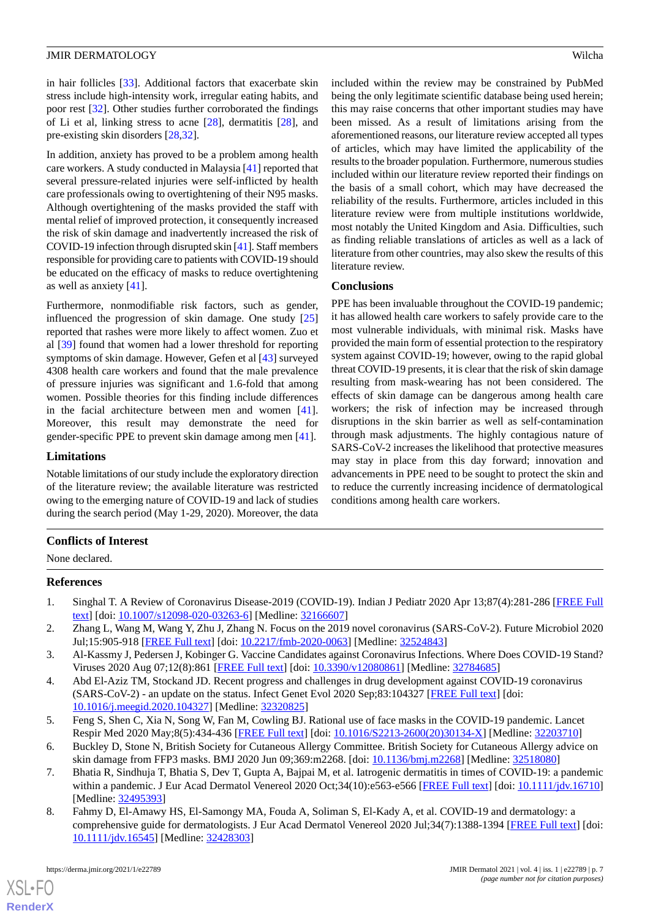in hair follicles [[33\]](#page-8-2). Additional factors that exacerbate skin stress include high-intensity work, irregular eating habits, and poor rest [\[32](#page-8-1)]. Other studies further corroborated the findings of Li et al, linking stress to acne  $[28]$  $[28]$ , dermatitis  $[28]$  $[28]$ , and pre-existing skin disorders [\[28](#page-7-19),[32\]](#page-8-1).

In addition, anxiety has proved to be a problem among health care workers. A study conducted in Malaysia [[41\]](#page-8-10) reported that several pressure-related injuries were self-inflicted by health care professionals owing to overtightening of their N95 masks. Although overtightening of the masks provided the staff with mental relief of improved protection, it consequently increased the risk of skin damage and inadvertently increased the risk of COVID-19 infection through disrupted skin [\[41](#page-8-10)]. Staff members responsible for providing care to patients with COVID-19 should be educated on the efficacy of masks to reduce overtightening as well as anxiety [\[41](#page-8-10)].

Furthermore, nonmodifiable risk factors, such as gender, influenced the progression of skin damage. One study [\[25](#page-7-14)] reported that rashes were more likely to affect women. Zuo et al [\[39](#page-8-8)] found that women had a lower threshold for reporting symptoms of skin damage. However, Gefen et al [\[43](#page-8-12)] surveyed 4308 health care workers and found that the male prevalence of pressure injuries was significant and 1.6-fold that among women. Possible theories for this finding include differences in the facial architecture between men and women [[41\]](#page-8-10). Moreover, this result may demonstrate the need for gender-specific PPE to prevent skin damage among men [[41\]](#page-8-10).

#### **Limitations**

Notable limitations of our study include the exploratory direction of the literature review; the available literature was restricted owing to the emerging nature of COVID-19 and lack of studies during the search period (May 1-29, 2020). Moreover, the data included within the review may be constrained by PubMed being the only legitimate scientific database being used herein; this may raise concerns that other important studies may have been missed. As a result of limitations arising from the aforementioned reasons, our literature review accepted all types of articles, which may have limited the applicability of the results to the broader population. Furthermore, numerous studies included within our literature review reported their findings on the basis of a small cohort, which may have decreased the reliability of the results. Furthermore, articles included in this literature review were from multiple institutions worldwide, most notably the United Kingdom and Asia. Difficulties, such as finding reliable translations of articles as well as a lack of literature from other countries, may also skew the results of this literature review.

#### **Conclusions**

PPE has been invaluable throughout the COVID-19 pandemic; it has allowed health care workers to safely provide care to the most vulnerable individuals, with minimal risk. Masks have provided the main form of essential protection to the respiratory system against COVID-19; however, owing to the rapid global threat COVID-19 presents, it is clear that the risk of skin damage resulting from mask-wearing has not been considered. The effects of skin damage can be dangerous among health care workers; the risk of infection may be increased through disruptions in the skin barrier as well as self-contamination through mask adjustments. The highly contagious nature of SARS-CoV-2 increases the likelihood that protective measures may stay in place from this day forward; innovation and advancements in PPE need to be sought to protect the skin and to reduce the currently increasing incidence of dermatological conditions among health care workers.

## <span id="page-6-0"></span>**Conflicts of Interest**

<span id="page-6-1"></span>None declared.

#### <span id="page-6-2"></span>**References**

- <span id="page-6-3"></span>1. Singhal T. A Review of Coronavirus Disease-2019 (COVID-19). Indian J Pediatr 2020 Apr 13;87(4):281-286 [[FREE Full](http://europepmc.org/abstract/MED/32166607) [text](http://europepmc.org/abstract/MED/32166607)] [doi: [10.1007/s12098-020-03263-6\]](http://dx.doi.org/10.1007/s12098-020-03263-6) [Medline: [32166607\]](http://www.ncbi.nlm.nih.gov/entrez/query.fcgi?cmd=Retrieve&db=PubMed&list_uids=32166607&dopt=Abstract)
- 2. Zhang L, Wang M, Wang Y, Zhu J, Zhang N. Focus on the 2019 novel coronavirus (SARS-CoV-2). Future Microbiol 2020 Jul;15:905-918 [[FREE Full text](https://www.futuremedicine.com/doi/abs/10.2217/fmb-2020-0063?url_ver=Z39.88-2003&rfr_id=ori:rid:crossref.org&rfr_dat=cr_pub%3dpubmed)] [doi: [10.2217/fmb-2020-0063\]](http://dx.doi.org/10.2217/fmb-2020-0063) [Medline: [32524843](http://www.ncbi.nlm.nih.gov/entrez/query.fcgi?cmd=Retrieve&db=PubMed&list_uids=32524843&dopt=Abstract)]
- <span id="page-6-4"></span>3. Al-Kassmy J, Pedersen J, Kobinger G. Vaccine Candidates against Coronavirus Infections. Where Does COVID-19 Stand? Viruses 2020 Aug 07;12(8):861 [\[FREE Full text\]](https://www.mdpi.com/resolver?pii=v12080861) [doi: [10.3390/v12080861](http://dx.doi.org/10.3390/v12080861)] [Medline: [32784685\]](http://www.ncbi.nlm.nih.gov/entrez/query.fcgi?cmd=Retrieve&db=PubMed&list_uids=32784685&dopt=Abstract)
- <span id="page-6-6"></span><span id="page-6-5"></span>4. Abd El-Aziz TM, Stockand JD. Recent progress and challenges in drug development against COVID-19 coronavirus (SARS-CoV-2) - an update on the status. Infect Genet Evol 2020 Sep;83:104327 [\[FREE Full text\]](http://europepmc.org/abstract/MED/32320825) [doi: [10.1016/j.meegid.2020.104327](http://dx.doi.org/10.1016/j.meegid.2020.104327)] [Medline: [32320825](http://www.ncbi.nlm.nih.gov/entrez/query.fcgi?cmd=Retrieve&db=PubMed&list_uids=32320825&dopt=Abstract)]
- <span id="page-6-7"></span>5. Feng S, Shen C, Xia N, Song W, Fan M, Cowling BJ. Rational use of face masks in the COVID-19 pandemic. Lancet Respir Med 2020 May;8(5):434-436 [\[FREE Full text\]](http://europepmc.org/abstract/MED/32203710) [doi: [10.1016/S2213-2600\(20\)30134-X](http://dx.doi.org/10.1016/S2213-2600(20)30134-X)] [Medline: [32203710\]](http://www.ncbi.nlm.nih.gov/entrez/query.fcgi?cmd=Retrieve&db=PubMed&list_uids=32203710&dopt=Abstract)
- 6. Buckley D, Stone N, British Society for Cutaneous Allergy Committee. British Society for Cutaneous Allergy advice on skin damage from FFP3 masks. BMJ 2020 Jun 09;369:m2268. [doi: [10.1136/bmj.m2268](http://dx.doi.org/10.1136/bmj.m2268)] [Medline: [32518080\]](http://www.ncbi.nlm.nih.gov/entrez/query.fcgi?cmd=Retrieve&db=PubMed&list_uids=32518080&dopt=Abstract)
- 7. Bhatia R, Sindhuja T, Bhatia S, Dev T, Gupta A, Bajpai M, et al. Iatrogenic dermatitis in times of COVID-19: a pandemic within a pandemic. J Eur Acad Dermatol Venereol 2020 Oct;34(10):e563-e566 [\[FREE Full text](http://europepmc.org/abstract/MED/32495393)] [doi: [10.1111/jdv.16710](http://dx.doi.org/10.1111/jdv.16710)] [Medline: [32495393](http://www.ncbi.nlm.nih.gov/entrez/query.fcgi?cmd=Retrieve&db=PubMed&list_uids=32495393&dopt=Abstract)]
- 8. Fahmy D, El-Amawy HS, El-Samongy MA, Fouda A, Soliman S, El-Kady A, et al. COVID-19 and dermatology: a comprehensive guide for dermatologists. J Eur Acad Dermatol Venereol 2020 Jul;34(7):1388-1394 [[FREE Full text](http://europepmc.org/abstract/MED/32428303)] [doi: [10.1111/jdv.16545](http://dx.doi.org/10.1111/jdv.16545)] [Medline: [32428303](http://www.ncbi.nlm.nih.gov/entrez/query.fcgi?cmd=Retrieve&db=PubMed&list_uids=32428303&dopt=Abstract)]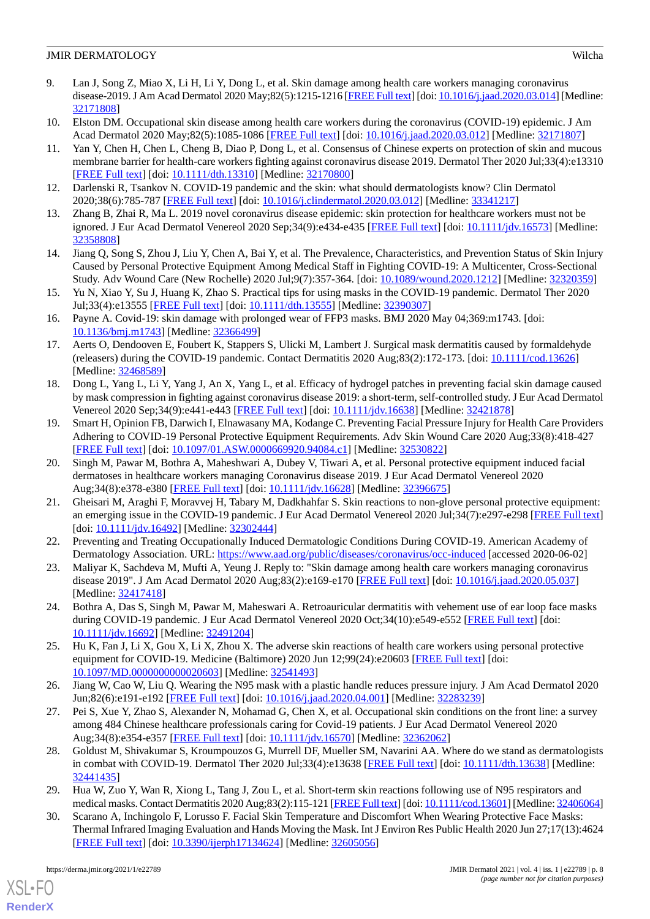- <span id="page-7-18"></span>9. Lan J, Song Z, Miao X, Li H, Li Y, Dong L, et al. Skin damage among health care workers managing coronavirus disease-2019. J Am Acad Dermatol 2020 May;82(5):1215-1216 [[FREE Full text\]](http://europepmc.org/abstract/MED/32171808) [doi: [10.1016/j.jaad.2020.03.014](http://dx.doi.org/10.1016/j.jaad.2020.03.014)] [Medline: [32171808](http://www.ncbi.nlm.nih.gov/entrez/query.fcgi?cmd=Retrieve&db=PubMed&list_uids=32171808&dopt=Abstract)]
- <span id="page-7-1"></span><span id="page-7-0"></span>10. Elston DM. Occupational skin disease among health care workers during the coronavirus (COVID-19) epidemic. J Am Acad Dermatol 2020 May;82(5):1085-1086 [[FREE Full text](http://europepmc.org/abstract/MED/32171807)] [doi: [10.1016/j.jaad.2020.03.012\]](http://dx.doi.org/10.1016/j.jaad.2020.03.012) [Medline: [32171807\]](http://www.ncbi.nlm.nih.gov/entrez/query.fcgi?cmd=Retrieve&db=PubMed&list_uids=32171807&dopt=Abstract)
- 11. Yan Y, Chen H, Chen L, Cheng B, Diao P, Dong L, et al. Consensus of Chinese experts on protection of skin and mucous membrane barrier for health-care workers fighting against coronavirus disease 2019. Dermatol Ther 2020 Jul;33(4):e13310 [[FREE Full text](http://europepmc.org/abstract/MED/32170800)] [doi: [10.1111/dth.13310](http://dx.doi.org/10.1111/dth.13310)] [Medline: [32170800\]](http://www.ncbi.nlm.nih.gov/entrez/query.fcgi?cmd=Retrieve&db=PubMed&list_uids=32170800&dopt=Abstract)
- <span id="page-7-4"></span><span id="page-7-2"></span>12. Darlenski R, Tsankov N. COVID-19 pandemic and the skin: what should dermatologists know? Clin Dermatol 2020;38(6):785-787 [[FREE Full text](http://europepmc.org/abstract/MED/33341217)] [doi: [10.1016/j.clindermatol.2020.03.012](http://dx.doi.org/10.1016/j.clindermatol.2020.03.012)] [Medline: [33341217\]](http://www.ncbi.nlm.nih.gov/entrez/query.fcgi?cmd=Retrieve&db=PubMed&list_uids=33341217&dopt=Abstract)
- <span id="page-7-5"></span>13. Zhang B, Zhai R, Ma L. 2019 novel coronavirus disease epidemic: skin protection for healthcare workers must not be ignored. J Eur Acad Dermatol Venereol 2020 Sep;34(9):e434-e435 [\[FREE Full text](http://europepmc.org/abstract/MED/32358808)] [doi: [10.1111/jdv.16573\]](http://dx.doi.org/10.1111/jdv.16573) [Medline: [32358808](http://www.ncbi.nlm.nih.gov/entrez/query.fcgi?cmd=Retrieve&db=PubMed&list_uids=32358808&dopt=Abstract)]
- <span id="page-7-7"></span>14. Jiang Q, Song S, Zhou J, Liu Y, Chen A, Bai Y, et al. The Prevalence, Characteristics, and Prevention Status of Skin Injury Caused by Personal Protective Equipment Among Medical Staff in Fighting COVID-19: A Multicenter, Cross-Sectional Study. Adv Wound Care (New Rochelle) 2020 Jul;9(7):357-364. [doi: [10.1089/wound.2020.1212\]](http://dx.doi.org/10.1089/wound.2020.1212) [Medline: [32320359\]](http://www.ncbi.nlm.nih.gov/entrez/query.fcgi?cmd=Retrieve&db=PubMed&list_uids=32320359&dopt=Abstract)
- <span id="page-7-6"></span>15. Yu N, Xiao Y, Su J, Huang K, Zhao S. Practical tips for using masks in the COVID-19 pandemic. Dermatol Ther 2020 Jul;33(4):e13555 [[FREE Full text](http://europepmc.org/abstract/MED/32390307)] [doi: [10.1111/dth.13555\]](http://dx.doi.org/10.1111/dth.13555) [Medline: [32390307\]](http://www.ncbi.nlm.nih.gov/entrez/query.fcgi?cmd=Retrieve&db=PubMed&list_uids=32390307&dopt=Abstract)
- <span id="page-7-3"></span>16. Payne A. Covid-19: skin damage with prolonged wear of FFP3 masks. BMJ 2020 May 04;369:m1743. [doi: [10.1136/bmj.m1743\]](http://dx.doi.org/10.1136/bmj.m1743) [Medline: [32366499](http://www.ncbi.nlm.nih.gov/entrez/query.fcgi?cmd=Retrieve&db=PubMed&list_uids=32366499&dopt=Abstract)]
- <span id="page-7-8"></span>17. Aerts O, Dendooven E, Foubert K, Stappers S, Ulicki M, Lambert J. Surgical mask dermatitis caused by formaldehyde (releasers) during the COVID-19 pandemic. Contact Dermatitis 2020 Aug;83(2):172-173. [doi: [10.1111/cod.13626](http://dx.doi.org/10.1111/cod.13626)] [Medline: [32468589](http://www.ncbi.nlm.nih.gov/entrez/query.fcgi?cmd=Retrieve&db=PubMed&list_uids=32468589&dopt=Abstract)]
- <span id="page-7-9"></span>18. Dong L, Yang L, Li Y, Yang J, An X, Yang L, et al. Efficacy of hydrogel patches in preventing facial skin damage caused by mask compression in fighting against coronavirus disease 2019: a short-term, self-controlled study. J Eur Acad Dermatol Venereol 2020 Sep;34(9):e441-e443 [\[FREE Full text\]](http://europepmc.org/abstract/MED/32421878) [doi: [10.1111/jdv.16638\]](http://dx.doi.org/10.1111/jdv.16638) [Medline: [32421878\]](http://www.ncbi.nlm.nih.gov/entrez/query.fcgi?cmd=Retrieve&db=PubMed&list_uids=32421878&dopt=Abstract)
- <span id="page-7-10"></span>19. Smart H, Opinion FB, Darwich I, Elnawasany MA, Kodange C. Preventing Facial Pressure Injury for Health Care Providers Adhering to COVID-19 Personal Protective Equipment Requirements. Adv Skin Wound Care 2020 Aug;33(8):418-427 [[FREE Full text](http://europepmc.org/abstract/MED/32530822)] [doi: [10.1097/01.ASW.0000669920.94084.c1](http://dx.doi.org/10.1097/01.ASW.0000669920.94084.c1)] [Medline: [32530822](http://www.ncbi.nlm.nih.gov/entrez/query.fcgi?cmd=Retrieve&db=PubMed&list_uids=32530822&dopt=Abstract)]
- <span id="page-7-12"></span>20. Singh M, Pawar M, Bothra A, Maheshwari A, Dubey V, Tiwari A, et al. Personal protective equipment induced facial dermatoses in healthcare workers managing Coronavirus disease 2019. J Eur Acad Dermatol Venereol 2020 Aug;34(8):e378-e380 [\[FREE Full text](http://europepmc.org/abstract/MED/32396675)] [doi: [10.1111/jdv.16628\]](http://dx.doi.org/10.1111/jdv.16628) [Medline: [32396675](http://www.ncbi.nlm.nih.gov/entrez/query.fcgi?cmd=Retrieve&db=PubMed&list_uids=32396675&dopt=Abstract)]
- <span id="page-7-13"></span><span id="page-7-11"></span>21. Gheisari M, Araghi F, Moravvej H, Tabary M, Dadkhahfar S. Skin reactions to non-glove personal protective equipment: an emerging issue in the COVID-19 pandemic. J Eur Acad Dermatol Venereol 2020 Jul;34(7):e297-e298 [\[FREE Full text](http://europepmc.org/abstract/MED/32302444)] [doi: [10.1111/jdv.16492\]](http://dx.doi.org/10.1111/jdv.16492) [Medline: [32302444\]](http://www.ncbi.nlm.nih.gov/entrez/query.fcgi?cmd=Retrieve&db=PubMed&list_uids=32302444&dopt=Abstract)
- <span id="page-7-16"></span>22. Preventing and Treating Occupationally Induced Dermatologic Conditions During COVID-19. American Academy of Dermatology Association. URL:<https://www.aad.org/public/diseases/coronavirus/occ-induced> [accessed 2020-06-02]
- <span id="page-7-14"></span>23. Maliyar K, Sachdeva M, Mufti A, Yeung J. Reply to: "Skin damage among health care workers managing coronavirus disease 2019". J Am Acad Dermatol 2020 Aug;83(2):e169-e170 [[FREE Full text](http://europepmc.org/abstract/MED/32417418)] [doi: [10.1016/j.jaad.2020.05.037](http://dx.doi.org/10.1016/j.jaad.2020.05.037)] [Medline: [32417418](http://www.ncbi.nlm.nih.gov/entrez/query.fcgi?cmd=Retrieve&db=PubMed&list_uids=32417418&dopt=Abstract)]
- <span id="page-7-15"></span>24. Bothra A, Das S, Singh M, Pawar M, Maheswari A. Retroauricular dermatitis with vehement use of ear loop face masks during COVID-19 pandemic. J Eur Acad Dermatol Venereol 2020 Oct;34(10):e549-e552 [\[FREE Full text\]](http://europepmc.org/abstract/MED/32491204) [doi: [10.1111/jdv.16692](http://dx.doi.org/10.1111/jdv.16692)] [Medline: [32491204](http://www.ncbi.nlm.nih.gov/entrez/query.fcgi?cmd=Retrieve&db=PubMed&list_uids=32491204&dopt=Abstract)]
- <span id="page-7-17"></span>25. Hu K, Fan J, Li X, Gou X, Li X, Zhou X. The adverse skin reactions of health care workers using personal protective equipment for COVID-19. Medicine (Baltimore) 2020 Jun 12;99(24):e20603 [[FREE Full text](https://doi.org/10.1097/MD.0000000000020603)] [doi: [10.1097/MD.0000000000020603](http://dx.doi.org/10.1097/MD.0000000000020603)] [Medline: [32541493](http://www.ncbi.nlm.nih.gov/entrez/query.fcgi?cmd=Retrieve&db=PubMed&list_uids=32541493&dopt=Abstract)]
- <span id="page-7-19"></span>26. Jiang W, Cao W, Liu Q. Wearing the N95 mask with a plastic handle reduces pressure injury. J Am Acad Dermatol 2020 Jun;82(6):e191-e192 [[FREE Full text](http://europepmc.org/abstract/MED/32283239)] [doi: [10.1016/j.jaad.2020.04.001](http://dx.doi.org/10.1016/j.jaad.2020.04.001)] [Medline: [32283239\]](http://www.ncbi.nlm.nih.gov/entrez/query.fcgi?cmd=Retrieve&db=PubMed&list_uids=32283239&dopt=Abstract)
- <span id="page-7-21"></span>27. Pei S, Xue Y, Zhao S, Alexander N, Mohamad G, Chen X, et al. Occupational skin conditions on the front line: a survey among 484 Chinese healthcare professionals caring for Covid-19 patients. J Eur Acad Dermatol Venereol 2020 Aug;34(8):e354-e357 [\[FREE Full text](http://europepmc.org/abstract/MED/32362062)] [doi: [10.1111/jdv.16570\]](http://dx.doi.org/10.1111/jdv.16570) [Medline: [32362062](http://www.ncbi.nlm.nih.gov/entrez/query.fcgi?cmd=Retrieve&db=PubMed&list_uids=32362062&dopt=Abstract)]
- <span id="page-7-20"></span>28. Goldust M, Shivakumar S, Kroumpouzos G, Murrell DF, Mueller SM, Navarini AA. Where do we stand as dermatologists in combat with COVID-19. Dermatol Ther 2020 Jul;33(4):e13638 [[FREE Full text](http://europepmc.org/abstract/MED/32441435)] [doi: [10.1111/dth.13638](http://dx.doi.org/10.1111/dth.13638)] [Medline: [32441435](http://www.ncbi.nlm.nih.gov/entrez/query.fcgi?cmd=Retrieve&db=PubMed&list_uids=32441435&dopt=Abstract)]
- 29. Hua W, Zuo Y, Wan R, Xiong L, Tang J, Zou L, et al. Short-term skin reactions following use of N95 respirators and medical masks. Contact Dermatitis 2020 Aug;83(2):115-121 [\[FREE Full text\]](http://europepmc.org/abstract/MED/32406064) [doi: [10.1111/cod.13601\]](http://dx.doi.org/10.1111/cod.13601) [Medline: [32406064\]](http://www.ncbi.nlm.nih.gov/entrez/query.fcgi?cmd=Retrieve&db=PubMed&list_uids=32406064&dopt=Abstract)
- 30. Scarano A, Inchingolo F, Lorusso F. Facial Skin Temperature and Discomfort When Wearing Protective Face Masks: Thermal Infrared Imaging Evaluation and Hands Moving the Mask. Int J Environ Res Public Health 2020 Jun 27;17(13):4624 [[FREE Full text](https://www.mdpi.com/resolver?pii=ijerph17134624)] [doi: [10.3390/ijerph17134624](http://dx.doi.org/10.3390/ijerph17134624)] [Medline: [32605056\]](http://www.ncbi.nlm.nih.gov/entrez/query.fcgi?cmd=Retrieve&db=PubMed&list_uids=32605056&dopt=Abstract)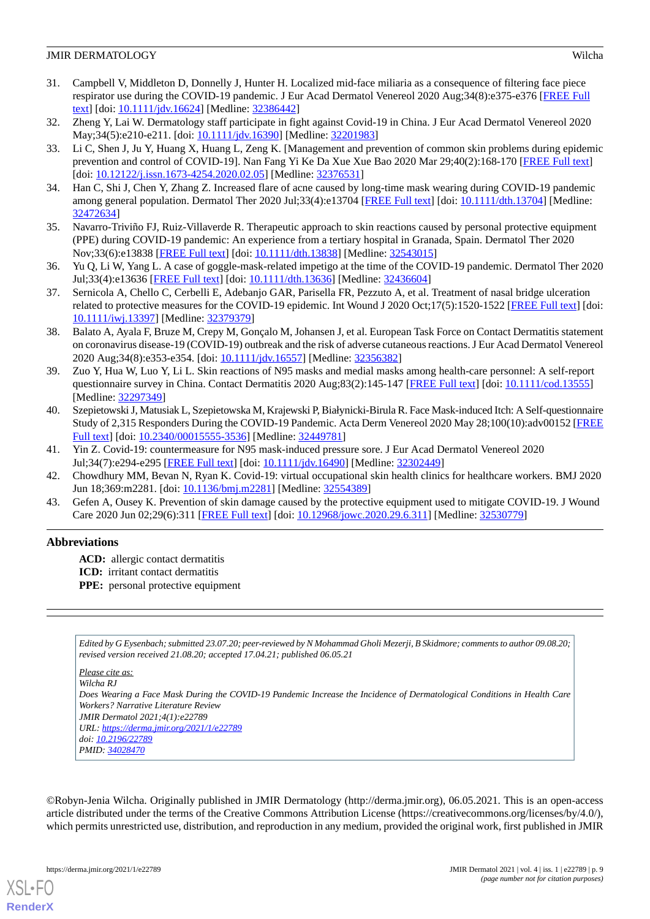- <span id="page-8-0"></span>31. Campbell V, Middleton D, Donnelly J, Hunter H. Localized mid-face miliaria as a consequence of filtering face piece respirator use during the COVID-19 pandemic. J Eur Acad Dermatol Venereol 2020 Aug;34(8):e375-e376 [[FREE Full](http://europepmc.org/abstract/MED/32386442) [text](http://europepmc.org/abstract/MED/32386442)] [doi: [10.1111/jdv.16624\]](http://dx.doi.org/10.1111/jdv.16624) [Medline: [32386442](http://www.ncbi.nlm.nih.gov/entrez/query.fcgi?cmd=Retrieve&db=PubMed&list_uids=32386442&dopt=Abstract)]
- <span id="page-8-2"></span><span id="page-8-1"></span>32. Zheng Y, Lai W. Dermatology staff participate in fight against Covid-19 in China. J Eur Acad Dermatol Venereol 2020 May;34(5):e210-e211. [doi: [10.1111/jdv.16390\]](http://dx.doi.org/10.1111/jdv.16390) [Medline: [32201983](http://www.ncbi.nlm.nih.gov/entrez/query.fcgi?cmd=Retrieve&db=PubMed&list_uids=32201983&dopt=Abstract)]
- 33. Li C, Shen J, Ju Y, Huang X, Huang L, Zeng K. [Management and prevention of common skin problems during epidemic prevention and control of COVID-19]. Nan Fang Yi Ke Da Xue Xue Bao 2020 Mar 29;40(2):168-170 [\[FREE Full text\]](http://europepmc.org/abstract/MED/32376531) [doi: [10.12122/j.issn.1673-4254.2020.02.05](http://dx.doi.org/10.12122/j.issn.1673-4254.2020.02.05)] [Medline: [32376531](http://www.ncbi.nlm.nih.gov/entrez/query.fcgi?cmd=Retrieve&db=PubMed&list_uids=32376531&dopt=Abstract)]
- <span id="page-8-4"></span><span id="page-8-3"></span>34. Han C, Shi J, Chen Y, Zhang Z. Increased flare of acne caused by long-time mask wearing during COVID-19 pandemic among general population. Dermatol Ther 2020 Jul;33(4):e13704 [\[FREE Full text\]](http://europepmc.org/abstract/MED/32472634) [doi: [10.1111/dth.13704\]](http://dx.doi.org/10.1111/dth.13704) [Medline: [32472634](http://www.ncbi.nlm.nih.gov/entrez/query.fcgi?cmd=Retrieve&db=PubMed&list_uids=32472634&dopt=Abstract)]
- <span id="page-8-5"></span>35. Navarro-Triviño FJ, Ruiz-Villaverde R. Therapeutic approach to skin reactions caused by personal protective equipment (PPE) during COVID-19 pandemic: An experience from a tertiary hospital in Granada, Spain. Dermatol Ther 2020 Nov;33(6):e13838 [\[FREE Full text](http://europepmc.org/abstract/MED/32543015)] [doi: [10.1111/dth.13838](http://dx.doi.org/10.1111/dth.13838)] [Medline: [32543015](http://www.ncbi.nlm.nih.gov/entrez/query.fcgi?cmd=Retrieve&db=PubMed&list_uids=32543015&dopt=Abstract)]
- <span id="page-8-6"></span>36. Yu Q, Li W, Yang L. A case of goggle-mask-related impetigo at the time of the COVID-19 pandemic. Dermatol Ther 2020 Jul;33(4):e13636 [[FREE Full text](http://europepmc.org/abstract/MED/32436604)] [doi: [10.1111/dth.13636\]](http://dx.doi.org/10.1111/dth.13636) [Medline: [32436604\]](http://www.ncbi.nlm.nih.gov/entrez/query.fcgi?cmd=Retrieve&db=PubMed&list_uids=32436604&dopt=Abstract)
- <span id="page-8-7"></span>37. Sernicola A, Chello C, Cerbelli E, Adebanjo GAR, Parisella FR, Pezzuto A, et al. Treatment of nasal bridge ulceration related to protective measures for the COVID-19 epidemic. Int Wound J 2020 Oct;17(5):1520-1522 [\[FREE Full text](http://europepmc.org/abstract/MED/32379379)] [doi: [10.1111/iwj.13397](http://dx.doi.org/10.1111/iwj.13397)] [Medline: [32379379\]](http://www.ncbi.nlm.nih.gov/entrez/query.fcgi?cmd=Retrieve&db=PubMed&list_uids=32379379&dopt=Abstract)
- <span id="page-8-8"></span>38. Balato A, Ayala F, Bruze M, Crepy M, Gonçalo M, Johansen J, et al. European Task Force on Contact Dermatitis statement on coronavirus disease-19 (COVID-19) outbreak and the risk of adverse cutaneous reactions. J Eur Acad Dermatol Venereol 2020 Aug;34(8):e353-e354. [doi: [10.1111/jdv.16557\]](http://dx.doi.org/10.1111/jdv.16557) [Medline: [32356382\]](http://www.ncbi.nlm.nih.gov/entrez/query.fcgi?cmd=Retrieve&db=PubMed&list_uids=32356382&dopt=Abstract)
- <span id="page-8-9"></span>39. Zuo Y, Hua W, Luo Y, Li L. Skin reactions of N95 masks and medial masks among health-care personnel: A self-report questionnaire survey in China. Contact Dermatitis 2020 Aug;83(2):145-147 [\[FREE Full text\]](http://europepmc.org/abstract/MED/32297349) [doi: [10.1111/cod.13555](http://dx.doi.org/10.1111/cod.13555)] [Medline: [32297349](http://www.ncbi.nlm.nih.gov/entrez/query.fcgi?cmd=Retrieve&db=PubMed&list_uids=32297349&dopt=Abstract)]
- <span id="page-8-11"></span><span id="page-8-10"></span>40. Szepietowski J, Matusiak L, Szepietowska M, Krajewski P, Białynicki-Birula R. Face Mask-induced Itch: A Self-questionnaire Study of 2,315 Responders During the COVID-19 Pandemic. Acta Derm Venereol 2020 May 28;100(10):adv00152 [\[FREE](https://www.medicaljournals.se/acta/content/abstract/10.2340/00015555-3536) [Full text\]](https://www.medicaljournals.se/acta/content/abstract/10.2340/00015555-3536) [doi: [10.2340/00015555-3536\]](http://dx.doi.org/10.2340/00015555-3536) [Medline: [32449781\]](http://www.ncbi.nlm.nih.gov/entrez/query.fcgi?cmd=Retrieve&db=PubMed&list_uids=32449781&dopt=Abstract)
- <span id="page-8-12"></span>41. Yin Z. Covid-19: countermeasure for N95 mask-induced pressure sore. J Eur Acad Dermatol Venereol 2020 Jul;34(7):e294-e295 [\[FREE Full text\]](http://europepmc.org/abstract/MED/32302449) [doi: [10.1111/jdv.16490](http://dx.doi.org/10.1111/jdv.16490)] [Medline: [32302449\]](http://www.ncbi.nlm.nih.gov/entrez/query.fcgi?cmd=Retrieve&db=PubMed&list_uids=32302449&dopt=Abstract)
- 42. Chowdhury MM, Bevan N, Ryan K. Covid-19: virtual occupational skin health clinics for healthcare workers. BMJ 2020 Jun 18;369:m2281. [doi: [10.1136/bmj.m2281\]](http://dx.doi.org/10.1136/bmj.m2281) [Medline: [32554389](http://www.ncbi.nlm.nih.gov/entrez/query.fcgi?cmd=Retrieve&db=PubMed&list_uids=32554389&dopt=Abstract)]
- 43. Gefen A, Ousey K. Prevention of skin damage caused by the protective equipment used to mitigate COVID-19. J Wound Care 2020 Jun 02;29(6):311 [[FREE Full text](https://www.magonlinelibrary.com/doi/abs/10.12968/jowc.2020.29.6.311?url_ver=Z39.88-2003&rfr_id=ori:rid:crossref.org&rfr_dat=cr_pub%3dpubmed)] [doi: [10.12968/jowc.2020.29.6.311\]](http://dx.doi.org/10.12968/jowc.2020.29.6.311) [Medline: [32530779\]](http://www.ncbi.nlm.nih.gov/entrez/query.fcgi?cmd=Retrieve&db=PubMed&list_uids=32530779&dopt=Abstract)

# **Abbreviations**

**ACD:** allergic contact dermatitis

- **ICD:** irritant contact dermatitis
- **PPE:** personal protective equipment

*Edited by G Eysenbach; submitted 23.07.20; peer-reviewed by N Mohammad Gholi Mezerji, B Skidmore; comments to author 09.08.20; revised version received 21.08.20; accepted 17.04.21; published 06.05.21*

*Please cite as:*

*Wilcha RJ Does Wearing a Face Mask During the COVID-19 Pandemic Increase the Incidence of Dermatological Conditions in Health Care Workers? Narrative Literature Review JMIR Dermatol 2021;4(1):e22789 URL: <https://derma.jmir.org/2021/1/e22789> doi: [10.2196/22789](http://dx.doi.org/10.2196/22789)*

*PMID: [34028470](http://www.ncbi.nlm.nih.gov/entrez/query.fcgi?cmd=Retrieve&db=PubMed&list_uids=34028470&dopt=Abstract)*

©Robyn-Jenia Wilcha. Originally published in JMIR Dermatology (http://derma.jmir.org), 06.05.2021. This is an open-access article distributed under the terms of the Creative Commons Attribution License (https://creativecommons.org/licenses/by/4.0/), which permits unrestricted use, distribution, and reproduction in any medium, provided the original work, first published in JMIR